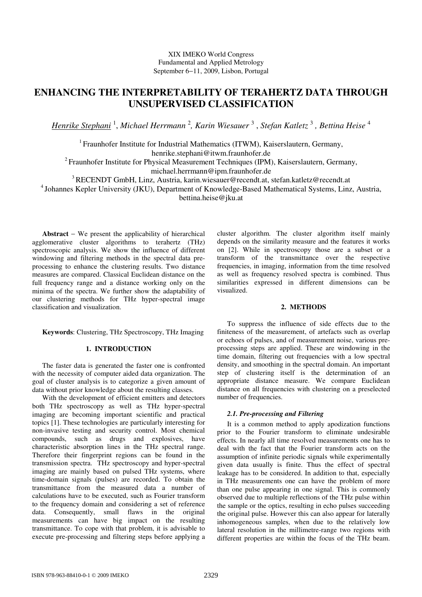# **ENHANCING THE INTERPRETABILITY OF TERAHERTZ DATA THROUGH UNSUPERVISED CLASSIFICATION**

*Henrike Stephani* <sup>1</sup> , *Michael Herrmann* <sup>2</sup> *, Karin Wiesauer* <sup>3</sup> , *Stefan Katletz* <sup>3</sup>  *, Bettina Heise* <sup>4</sup>

<sup>1</sup> Fraunhofer Institute for Industrial Mathematics (ITWM), Kaiserslautern, Germany,

henrike.stephani@itwm.fraunhofer.de

 $2$  Fraunhofer Institute for Physical Measurement Techniques (IPM), Kaiserslautern, Germany,

michael.herrmann@ipm.fraunhofer.de

<sup>3</sup>RECENDT GmbH, Linz, Austria, karin.wiesauer@recendt.at, stefan.katletz@recendt.at

<sup>4</sup> Johannes Kepler University (JKU), Department of Knowledge-Based Mathematical Systems, Linz, Austria,

bettina.heise@jku.at

**Abstract** − We present the applicability of hierarchical agglomerative cluster algorithms to terahertz (THz) spectroscopic analysis. We show the influence of different windowing and filtering methods in the spectral data preprocessing to enhance the clustering results. Two distance measures are compared. Classical Euclidean distance on the full frequency range and a distance working only on the minima of the spectra. We further show the adaptability of our clustering methods for THz hyper-spectral image classification and visualization.

**Keywords**: Clustering, THz Spectroscopy, THz Imaging

# **1. INTRODUCTION**

The faster data is generated the faster one is confronted with the necessity of computer aided data organization. The goal of cluster analysis is to categorize a given amount of data without prior knowledge about the resulting classes.

With the development of efficient emitters and detectors both THz spectroscopy as well as THz hyper-spectral imaging are becoming important scientific and practical topics [1]. These technologies are particularly interesting for non-invasive testing and security control. Most chemical compounds, such as drugs and explosives, have characteristic absorption lines in the THz spectral range. Therefore their fingerprint regions can be found in the transmission spectra. THz spectroscopy and hyper-spectral imaging are mainly based on pulsed THz systems, where time-domain signals (pulses) are recorded. To obtain the transmittance from the measured data a number of calculations have to be executed, such as Fourier transform to the frequency domain and considering a set of reference data. Consequently, small flaws in the original measurements can have big impact on the resulting transmittance. To cope with that problem, it is advisable to execute pre-processing and filtering steps before applying a

cluster algorithm. The cluster algorithm itself mainly depends on the similarity measure and the features it works on [2]. While in spectroscopy those are a subset or a transform of the transmittance over the respective frequencies, in imaging, information from the time resolved as well as frequency resolved spectra is combined. Thus similarities expressed in different dimensions can be visualized.

## **2. METHODS**

To suppress the influence of side effects due to the finiteness of the measurement, of artefacts such as overlap or echoes of pulses, and of measurement noise, various preprocessing steps are applied. These are windowing in the time domain, filtering out frequencies with a low spectral density, and smoothing in the spectral domain. An important step of clustering itself is the determination of an appropriate distance measure. We compare Euclidean distance on all frequencies with clustering on a preselected number of frequencies.

### *2.1. Pre-processing and Filtering*

It is a common method to apply apodization functions prior to the Fourier transform to eliminate undesirable effects. In nearly all time resolved measurements one has to deal with the fact that the Fourier transform acts on the assumption of infinite periodic signals while experimentally given data usually is finite. Thus the effect of spectral leakage has to be considered. In addition to that, especially in THz measurements one can have the problem of more than one pulse appearing in one signal. This is commonly observed due to multiple reflections of the THz pulse within the sample or the optics, resulting in echo pulses succeeding the original pulse. However this can also appear for laterally inhomogeneous samples, when due to the relatively low lateral resolution in the millimetre-range two regions with different properties are within the focus of the THz beam.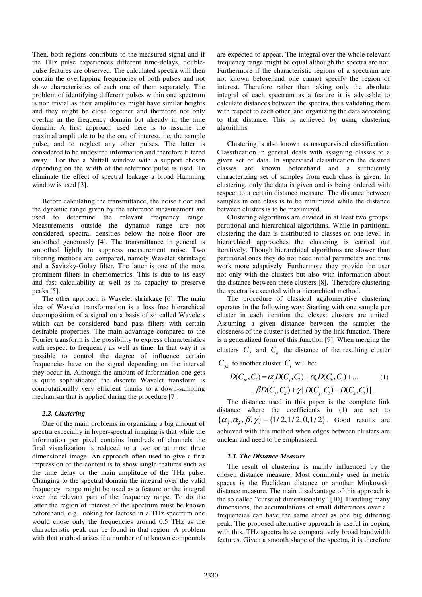Then, both regions contribute to the measured signal and if the THz pulse experiences different time-delays, doublepulse features are observed. The calculated spectra will then contain the overlapping frequencies of both pulses and not show characteristics of each one of them separately. The problem of identifying different pulses within one spectrum is non trivial as their amplitudes might have similar heights and they might be close together and therefore not only overlap in the frequency domain but already in the time domain. A first approach used here is to assume the maximal amplitude to be the one of interest, i.e. the sample pulse, and to neglect any other pulses. The latter is considered to be undesired information and therefore filtered away. For that a Nuttall window with a support chosen depending on the width of the reference pulse is used. To eliminate the effect of spectral leakage a broad Hamming window is used [3].

Before calculating the transmittance, the noise floor and the dynamic range given by the reference measurement are used to determine the relevant frequency range. Measurements outside the dynamic range are not considered, spectral densities below the noise floor are smoothed generously [4]. The transmittance in general is smoothed lightly to suppress measurement noise. Two filtering methods are compared, namely Wavelet shrinkage and a Savitzky-Golay filter. The latter is one of the most prominent filters in chemometrics. This is due to its easy and fast calculability as well as its capacity to preserve peaks [5].

The other approach is Wavelet shrinkage [6]. The main idea of Wavelet transformation is a loss free hierarchical decomposition of a signal on a basis of so called Wavelets which can be considered band pass filters with certain desirable properties. The main advantage compared to the Fourier transform is the possibility to express characteristics with respect to frequency as well as time. In that way it is possible to control the degree of influence certain frequencies have on the signal depending on the interval they occur in. Although the amount of information one gets is quite sophisticated the discrete Wavelet transform is computationally very efficient thanks to a down-sampling mechanism that is applied during the procedure [7].

#### *2.2. Clustering*

One of the main problems in organizing a big amount of spectra especially in hyper-spectral imaging is that while the information per pixel contains hundreds of channels the final visualization is reduced to a two or at most three dimensional image. An approach often used to give a first impression of the content is to show single features such as the time delay or the main amplitude of the THz pulse. Changing to the spectral domain the integral over the valid frequency range might be used as a feature or the integral over the relevant part of the frequency range. To do the latter the region of interest of the spectrum must be known beforehand, e.g. looking for lactose in a THz spectrum one would chose only the frequencies around 0.5 THz as the characteristic peak can be found in that region. A problem with that method arises if a number of unknown compounds are expected to appear. The integral over the whole relevant frequency range might be equal although the spectra are not. Furthermore if the characteristic regions of a spectrum are not known beforehand one cannot specify the region of interest. Therefore rather than taking only the absolute integral of each spectrum as a feature it is advisable to calculate distances between the spectra, thus validating them with respect to each other, and organizing the data according to that distance. This is achieved by using clustering algorithms.

Clustering is also known as unsupervised classification. Classification in general deals with assigning classes to a given set of data. In supervised classification the desired classes are known beforehand and a sufficiently characterizing set of samples from each class is given. In clustering, only the data is given and is being ordered with respect to a certain distance measure. The distance between samples in one class is to be minimized while the distance between clusters is to be maximized.

Clustering algorithms are divided in at least two groups: partitional and hierarchical algorithms. While in partitional clustering the data is distributed to classes on one level, in hierarchical approaches the clustering is carried out iteratively. Though hierarchical algorithms are slower than partitional ones they do not need initial parameters and thus work more adaptively. Furthermore they provide the user not only with the clusters but also with information about the distance between these clusters [8]. Therefore clustering the spectra is executed with a hierarchical method.

The procedure of classical agglomerative clustering operates in the following way: Starting with one sample per cluster in each iteration the closest clusters are united. Assuming a given distance between the samples the closeness of the cluster is defined by the link function. There is a generalized form of this function [9]. When merging the clusters  $C_j$  and  $C_k$  the distance of the resulting cluster  $C_{jk}$  to another cluster  $C_l$  will be:

$$
D(C_{jk}, C_{l}) = \alpha_{j} D(C_{j}, C_{l}) + \alpha_{k} D(C_{k}, C_{l}) + ...
$$
  
...  $\beta D(C_{j}, C_{k}) + \gamma | D(C_{j}, C_{l}) - D(C_{k}, C_{l}) |.$  (1)

The distance used in this paper is the complete link distance where the coefficients in (1) are set to  ${\alpha_{i}, \alpha_{i}, \beta, \gamma} = {1/2, 1/2, 0, 1/2}$ . Good results are achieved with this method when edges between clusters are unclear and need to be emphasized.

#### *2.3. The Distance Measure*

The result of clustering is mainly influenced by the chosen distance measure. Most commonly used in metric spaces is the Euclidean distance or another Minkowski distance measure. The main disadvantage of this approach is the so called "curse of dimensionality" [10]. Handling many dimensions, the accumulations of small differences over all frequencies can have the same effect as one big differing peak. The proposed alternative approach is useful in coping with this. THz spectra have comparatively broad bandwidth features. Given a smooth shape of the spectra, it is therefore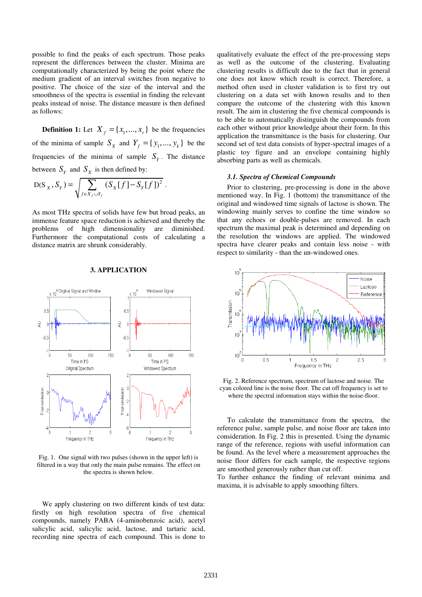possible to find the peaks of each spectrum. Those peaks represent the differences between the cluster. Minima are computationally characterized by being the point where the medium gradient of an interval switches from negative to positive. The choice of the size of the interval and the smoothness of the spectra is essential in finding the relevant peaks instead of noise. The distance measure is then defined as follows:

**Definition 1:** Let  $X_f = \{x_1, ..., x_r\}$  be the frequencies of the minima of sample  $S_X$  and  $Y_f = \{y_1, ..., y_k\}$  be the frequencies of the minima of sample  $S<sub>y</sub>$ . The distance between  $S_Y$  and  $S_X$  is then defined by:

D(S<sub>X</sub>, S<sub>Y</sub>) = 
$$
\sqrt{\sum_{f \in X_f \cup Y_f} (S_X[f] - S_Y[f])^2}
$$
.

As most THz spectra of solids have few but broad peaks, an immense feature space reduction is achieved and thereby the problems of high dimensionality are diminished. Furthermore the computational costs of calculating a distance matrix are shrunk considerably.



#### **3. APPLICATION**

Fig. 1. One signal with two pulses (shown in the upper left) is filtered in a way that only the main pulse remains. The effect on the spectra is shown below.

We apply clustering on two different kinds of test data: firstly on high resolution spectra of five chemical compounds, namely PABA (4-aminobenzoic acid), acetyl salicylic acid, salicylic acid, lactose, and tartaric acid, recording nine spectra of each compound. This is done to qualitatively evaluate the effect of the pre-processing steps as well as the outcome of the clustering. Evaluating clustering results is difficult due to the fact that in general one does not know which result is correct. Therefore, a method often used in cluster validation is to first try out clustering on a data set with known results and to then compare the outcome of the clustering with this known result. The aim in clustering the five chemical compounds is to be able to automatically distinguish the compounds from each other without prior knowledge about their form. In this application the transmittance is the basis for clustering. Our second set of test data consists of hyper-spectral images of a plastic toy figure and an envelope containing highly absorbing parts as well as chemicals.

#### *3.1. Spectra of Chemical Compounds*

Prior to clustering, pre-processing is done in the above mentioned way. In Fig. 1 (bottom) the transmittance of the original and windowed time signals of lactose is shown. The windowing mainly serves to confine the time window so that any echoes or double-pulses are removed. In each spectrum the maximal peak is determined and depending on the resolution the windows are applied. The windowed spectra have clearer peaks and contain less noise - with respect to similarity - than the un-windowed ones.



Fig. 2. Reference spectrum, spectrum of lactose and noise. The cyan colored line is the noise floor. The cut off frequency is set to where the spectral information stays within the noise-floor.

To calculate the transmittance from the spectra, the reference pulse, sample pulse, and noise floor are taken into consideration. In Fig. 2 this is presented. Using the dynamic range of the reference, regions with useful information can be found. As the level where a measurement approaches the noise floor differs for each sample, the respective regions are smoothed generously rather than cut off.

To further enhance the finding of relevant minima and maxima, it is advisable to apply smoothing filters.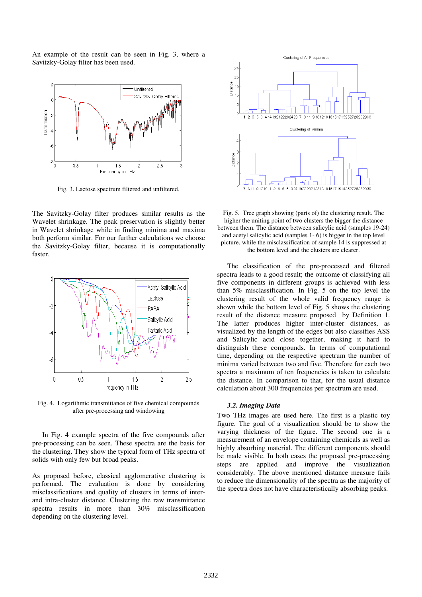An example of the result can be seen in Fig. 3, where a Savitzky-Golay filter has been used.



Fig. 3. Lactose spectrum filtered and unfiltered.

The Savitzky-Golay filter produces similar results as the Wavelet shrinkage. The peak preservation is slightly better in Wavelet shrinkage while in finding minima and maxima both perform similar. For our further calculations we choose the Savitzky-Golay filter, because it is computationally faster.



Fig. 4. Logarithmic transmittance of five chemical compounds after pre-processing and windowing

In Fig. 4 example spectra of the five compounds after pre-processing can be seen. These spectra are the basis for the clustering. They show the typical form of THz spectra of solids with only few but broad peaks.

As proposed before, classical agglomerative clustering is performed. The evaluation is done by considering misclassifications and quality of clusters in terms of interand intra-cluster distance. Clustering the raw transmittance spectra results in more than 30% misclassification depending on the clustering level.



Fig. 5. Tree graph showing (parts of) the clustering result. The higher the uniting point of two clusters the bigger the distance between them. The distance between salicylic acid (samples 19-24) and acetyl salicylic acid (samples 1- 6) is bigger in the top level picture, while the misclassification of sample 14 is suppressed at the bottom level and the clusters are clearer.

The classification of the pre-processed and filtered spectra leads to a good result; the outcome of classifying all five components in different groups is achieved with less than 5% misclassification. In Fig. 5 on the top level the clustering result of the whole valid frequency range is shown while the bottom level of Fig. 5 shows the clustering result of the distance measure proposed by Definition 1. The latter produces higher inter-cluster distances, as visualized by the length of the edges but also classifies ASS and Salicylic acid close together, making it hard to distinguish these compounds. In terms of computational time, depending on the respective spectrum the number of minima varied between two and five. Therefore for each two spectra a maximum of ten frequencies is taken to calculate the distance. In comparison to that, for the usual distance calculation about 300 frequencies per spectrum are used.

#### *3.2. Imaging Data*

Two THz images are used here. The first is a plastic toy figure. The goal of a visualization should be to show the varying thickness of the figure. The second one is a measurement of an envelope containing chemicals as well as highly absorbing material. The different components should be made visible. In both cases the proposed pre-processing steps are applied and improve the visualization considerably. The above mentioned distance measure fails to reduce the dimensionality of the spectra as the majority of the spectra does not have characteristically absorbing peaks.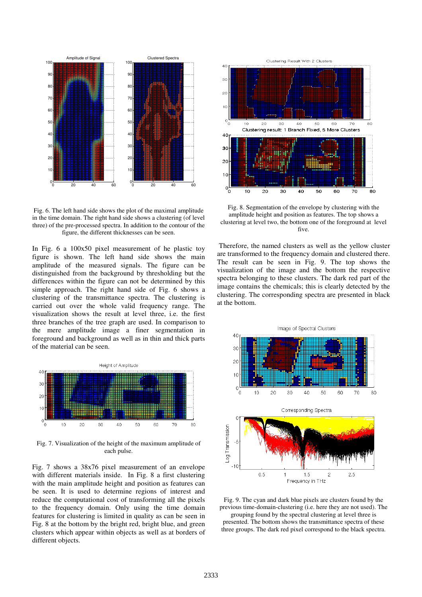

Fig. 6. The left hand side shows the plot of the maximal amplitude in the time domain. The right hand side shows a clustering (of level three) of the pre-processed spectra. In addition to the contour of the figure, the different thicknesses can be seen.

In Fig. 6 a 100x50 pixel measurement of he plastic toy figure is shown. The left hand side shows the main amplitude of the measured signals. The figure can be distinguished from the background by thresholding but the differences within the figure can not be determined by this simple approach. The right hand side of Fig. 6 shows a clustering of the transmittance spectra. The clustering is carried out over the whole valid frequency range. The visualization shows the result at level three, i.e. the first three branches of the tree graph are used. In comparison to the mere amplitude image a finer segmentation in foreground and background as well as in thin and thick parts of the material can be seen.



Fig. 7. Visualization of the height of the maximum amplitude of each pulse.

Fig. 7 shows a 38x76 pixel measurement of an envelope with different materials inside. In Fig. 8 a first clustering with the main amplitude height and position as features can be seen. It is used to determine regions of interest and reduce the computational cost of transforming all the pixels to the frequency domain. Only using the time domain features for clustering is limited in quality as can be seen in Fig. 8 at the bottom by the bright red, bright blue, and green clusters which appear within objects as well as at borders of different objects.



Fig. 8. Segmentation of the envelope by clustering with the amplitude height and position as features. The top shows a clustering at level two, the bottom one of the foreground at level five.

 Therefore, the named clusters as well as the yellow cluster are transformed to the frequency domain and clustered there. The result can be seen in Fig. 9. The top shows the visualization of the image and the bottom the respective spectra belonging to these clusters. The dark red part of the image contains the chemicals; this is clearly detected by the clustering. The corresponding spectra are presented in black at the bottom.



Fig. 9. The cyan and dark blue pixels are clusters found by the previous time-domain-clustering (i.e. here they are not used). The grouping found by the spectral clustering at level three is presented. The bottom shows the transmittance spectra of these three groups. The dark red pixel correspond to the black spectra.